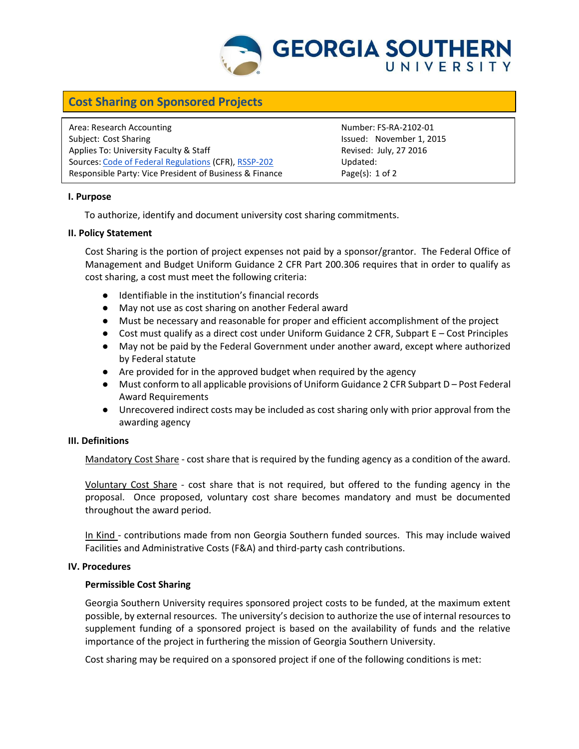

# **Cost Sharing on Sponsored Projects**

Area: Research Accounting The Counting Communication of the Number: FS-RA-2102-01 Subject: Cost Sharing **Issued: November 1, 2015** Applies To: University Faculty & Staff Revised: July, 27 2016 Sources: [Code of Federal Regulations](http://www.ecfr.gov/cgi-bin/text-idx?tpl=/ecfrbrowse/Title02/2cfr200_main_02.tpl) (CFR), [RSSP-202](http://digitalcommons.georgiasouthern.edu/oraec/) Updated: Responsible Party: Vice President of Business & Finance Page(s): 1 of 2

## **I. Purpose**

To authorize, identify and document university cost sharing commitments.

#### **II. Policy Statement**

Cost Sharing is the portion of project expenses not paid by a sponsor/grantor. The Federal Office of Management and Budget Uniform Guidance 2 CFR Part 200.306 requires that in order to qualify as cost sharing, a cost must meet the following criteria:

- Identifiable in the institution's financial records
- May not use as cost sharing on another Federal award
- Must be necessary and reasonable for proper and efficient accomplishment of the project
- Cost must qualify as a direct cost under Uniform Guidance 2 CFR, Subpart E Cost Principles
- May not be paid by the Federal Government under another award, except where authorized by Federal statute
- Are provided for in the approved budget when required by the agency
- Must conform to all applicable provisions of Uniform Guidance 2 CFR Subpart D Post Federal Award Requirements
- Unrecovered indirect costs may be included as cost sharing only with prior approval from the awarding agency

## **III. Definitions**

Mandatory Cost Share - cost share that is required by the funding agency as a condition of the award.

Voluntary Cost Share - cost share that is not required, but offered to the funding agency in the proposal. Once proposed, voluntary cost share becomes mandatory and must be documented throughout the award period.

In Kind - contributions made from non Georgia Southern funded sources. This may include waived Facilities and Administrative Costs (F&A) and third-party cash contributions.

#### **IV. Procedures**

## **Permissible Cost Sharing**

Georgia Southern University requires sponsored project costs to be funded, at the maximum extent possible, by external resources. The university's decision to authorize the use of internal resources to supplement funding of a sponsored project is based on the availability of funds and the relative importance of the project in furthering the mission of Georgia Southern University.

Cost sharing may be required on a sponsored project if one of the following conditions is met: